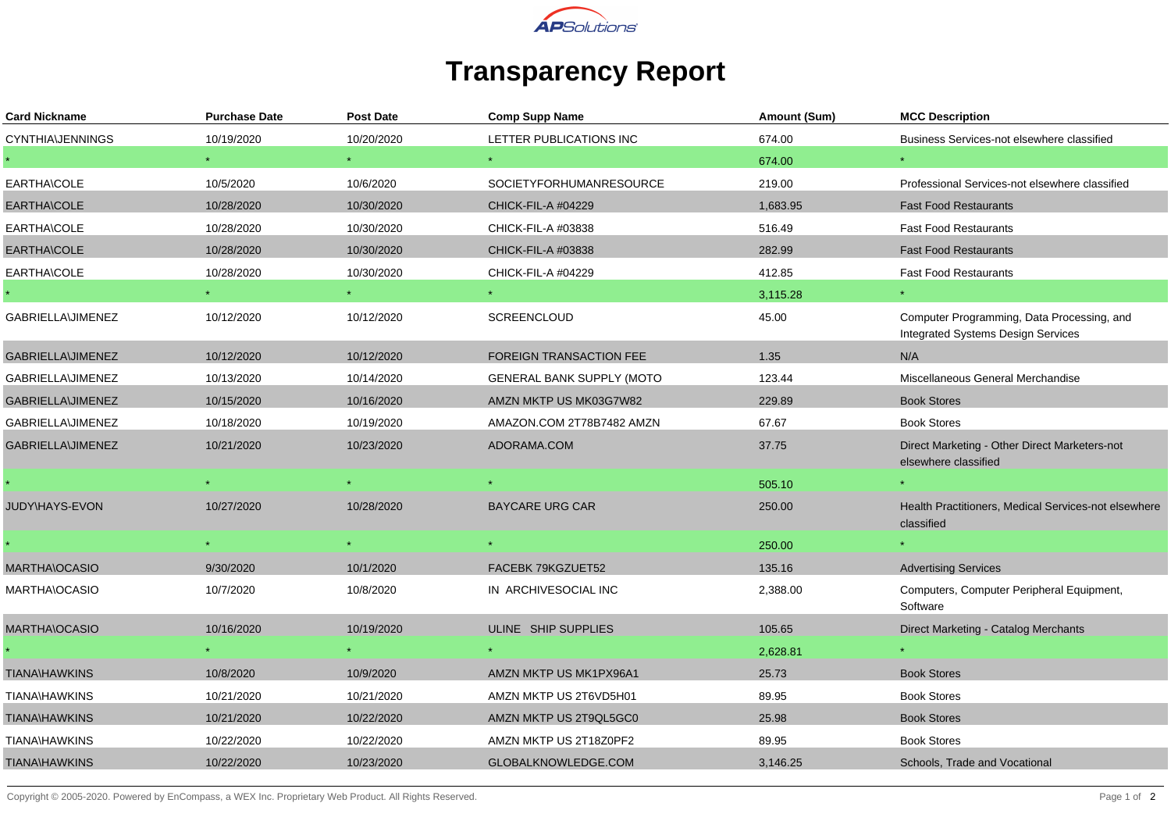

## **Transparency Report**

| <b>Card Nickname</b>    | <b>Purchase Date</b> | Post Date  | <b>Comp Supp Name</b>          | Amount (Sum) | <b>MCC Description</b>                                                                  |
|-------------------------|----------------------|------------|--------------------------------|--------------|-----------------------------------------------------------------------------------------|
| <b>CYNTHIA\JENNINGS</b> | 10/19/2020           | 10/20/2020 | LETTER PUBLICATIONS INC        | 674.00       | Business Services-not elsewhere classified                                              |
|                         |                      |            |                                | 674.00       |                                                                                         |
| EARTHA\COLE             | 10/5/2020            | 10/6/2020  | <b>SOCIETYFORHUMANRESOURCE</b> | 219.00       | Professional Services-not elsewhere classified                                          |
| EARTHA\COLE             | 10/28/2020           | 10/30/2020 | <b>CHICK-FIL-A #04229</b>      | 1,683.95     | <b>Fast Food Restaurants</b>                                                            |
| EARTHA\COLE             | 10/28/2020           | 10/30/2020 | CHICK-FIL-A #03838             | 516.49       | <b>Fast Food Restaurants</b>                                                            |
| EARTHA\COLE             | 10/28/2020           | 10/30/2020 | CHICK-FIL-A #03838             | 282.99       | <b>Fast Food Restaurants</b>                                                            |
| EARTHA\COLE             | 10/28/2020           | 10/30/2020 | CHICK-FIL-A #04229             | 412.85       | <b>Fast Food Restaurants</b>                                                            |
|                         | $\star$ .            | $\star$    |                                | 3,115.28     |                                                                                         |
| GABRIELLA\JIMENEZ       | 10/12/2020           | 10/12/2020 | <b>SCREENCLOUD</b>             | 45.00        | Computer Programming, Data Processing, and<br><b>Integrated Systems Design Services</b> |
| GABRIELLA\JIMENEZ       | 10/12/2020           | 10/12/2020 | <b>FOREIGN TRANSACTION FEE</b> | 1.35         | N/A                                                                                     |
| GABRIELLA\JIMENEZ       | 10/13/2020           | 10/14/2020 | GENERAL BANK SUPPLY (MOTO      | 123.44       | Miscellaneous General Merchandise                                                       |
| GABRIELLA\JIMENEZ       | 10/15/2020           | 10/16/2020 | AMZN MKTP US MK03G7W82         | 229.89       | <b>Book Stores</b>                                                                      |
| GABRIELLA\JIMENEZ       | 10/18/2020           | 10/19/2020 | AMAZON.COM 2T78B7482 AMZN      | 67.67        | <b>Book Stores</b>                                                                      |
| GABRIELLA\JIMENEZ       | 10/21/2020           | 10/23/2020 | ADORAMA.COM                    | 37.75        | Direct Marketing - Other Direct Marketers-not<br>elsewhere classified                   |
|                         |                      |            |                                | 505.10       |                                                                                         |
| JUDY\HAYS-EVON          | 10/27/2020           | 10/28/2020 | <b>BAYCARE URG CAR</b>         | 250.00       | Health Practitioners, Medical Services-not elsewhere<br>classified                      |
|                         |                      |            |                                | 250.00       |                                                                                         |
| <b>MARTHA\OCASIO</b>    | 9/30/2020            | 10/1/2020  | FACEBK 79KGZUET52              | 135.16       | <b>Advertising Services</b>                                                             |
| MARTHA\OCASIO           | 10/7/2020            | 10/8/2020  | IN ARCHIVESOCIAL INC           | 2,388.00     | Computers, Computer Peripheral Equipment,<br>Software                                   |
| MARTHA\OCASIO           | 10/16/2020           | 10/19/2020 | ULINE SHIP SUPPLIES            | 105.65       | Direct Marketing - Catalog Merchants                                                    |
|                         |                      |            |                                | 2,628.81     |                                                                                         |
| <b>TIANA\HAWKINS</b>    | 10/8/2020            | 10/9/2020  | AMZN MKTP US MK1PX96A1         | 25.73        | <b>Book Stores</b>                                                                      |
| <b>TIANA\HAWKINS</b>    | 10/21/2020           | 10/21/2020 | AMZN MKTP US 2T6VD5H01         | 89.95        | <b>Book Stores</b>                                                                      |
| <b>TIANA\HAWKINS</b>    | 10/21/2020           | 10/22/2020 | AMZN MKTP US 2T9QL5GC0         | 25.98        | <b>Book Stores</b>                                                                      |
| <b>TIANA\HAWKINS</b>    | 10/22/2020           | 10/22/2020 | AMZN MKTP US 2T18Z0PF2         | 89.95        | <b>Book Stores</b>                                                                      |
| <b>TIANA\HAWKINS</b>    | 10/22/2020           | 10/23/2020 | GLOBALKNOWLEDGE.COM            | 3,146.25     | Schools, Trade and Vocational                                                           |

Copyright © 2005-2020. Powered by EnCompass, a WEX Inc. Proprietary Web Product. All Rights Reserved.